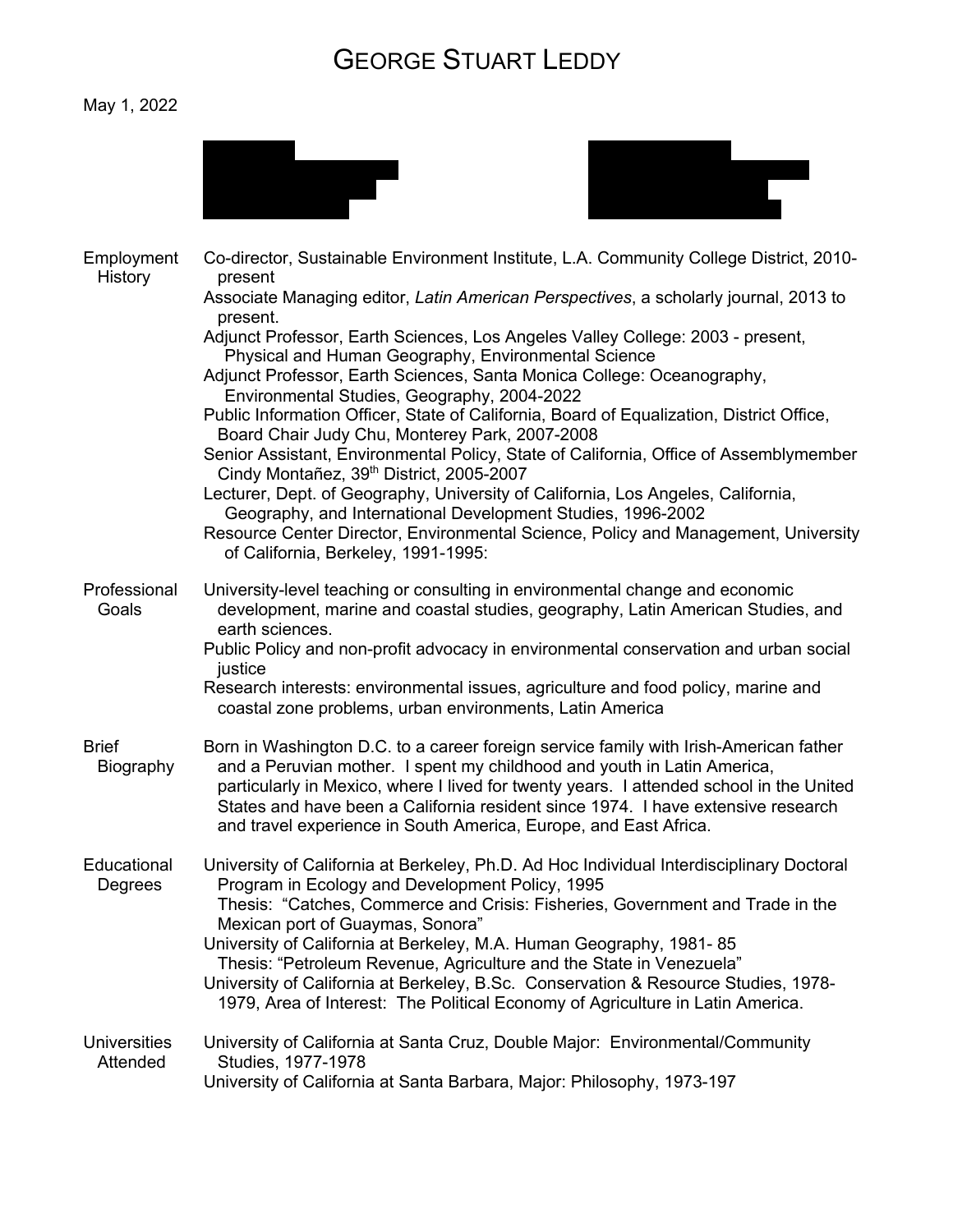## GEORGE STUART LEDDY

## May 1, 2022





| Employment<br><b>History</b>    | Co-director, Sustainable Environment Institute, L.A. Community College District, 2010-<br>present                                                                                                                                                                                                                                                                                                                   |
|---------------------------------|---------------------------------------------------------------------------------------------------------------------------------------------------------------------------------------------------------------------------------------------------------------------------------------------------------------------------------------------------------------------------------------------------------------------|
|                                 | Associate Managing editor, Latin American Perspectives, a scholarly journal, 2013 to<br>present.                                                                                                                                                                                                                                                                                                                    |
|                                 | Adjunct Professor, Earth Sciences, Los Angeles Valley College: 2003 - present,<br>Physical and Human Geography, Environmental Science                                                                                                                                                                                                                                                                               |
|                                 | Adjunct Professor, Earth Sciences, Santa Monica College: Oceanography,<br>Environmental Studies, Geography, 2004-2022                                                                                                                                                                                                                                                                                               |
|                                 | Public Information Officer, State of California, Board of Equalization, District Office,<br>Board Chair Judy Chu, Monterey Park, 2007-2008                                                                                                                                                                                                                                                                          |
|                                 | Senior Assistant, Environmental Policy, State of California, Office of Assemblymember<br>Cindy Montañez, 39 <sup>th</sup> District, 2005-2007                                                                                                                                                                                                                                                                       |
|                                 | Lecturer, Dept. of Geography, University of California, Los Angeles, California,<br>Geography, and International Development Studies, 1996-2002                                                                                                                                                                                                                                                                     |
|                                 | Resource Center Director, Environmental Science, Policy and Management, University<br>of California, Berkeley, 1991-1995:                                                                                                                                                                                                                                                                                           |
| Professional<br>Goals           | University-level teaching or consulting in environmental change and economic<br>development, marine and coastal studies, geography, Latin American Studies, and<br>earth sciences.                                                                                                                                                                                                                                  |
|                                 | Public Policy and non-profit advocacy in environmental conservation and urban social<br>justice                                                                                                                                                                                                                                                                                                                     |
|                                 | Research interests: environmental issues, agriculture and food policy, marine and<br>coastal zone problems, urban environments, Latin America                                                                                                                                                                                                                                                                       |
| <b>Brief</b><br>Biography       | Born in Washington D.C. to a career foreign service family with Irish-American father<br>and a Peruvian mother. I spent my childhood and youth in Latin America,<br>particularly in Mexico, where I lived for twenty years. I attended school in the United<br>States and have been a California resident since 1974. I have extensive research<br>and travel experience in South America, Europe, and East Africa. |
| Educational<br>Degrees          | University of California at Berkeley, Ph.D. Ad Hoc Individual Interdisciplinary Doctoral<br>Program in Ecology and Development Policy, 1995<br>Thesis: "Catches, Commerce and Crisis: Fisheries, Government and Trade in the                                                                                                                                                                                        |
|                                 | Mexican port of Guaymas, Sonora"<br>University of California at Berkeley, M.A. Human Geography, 1981-85                                                                                                                                                                                                                                                                                                             |
|                                 | Thesis: "Petroleum Revenue, Agriculture and the State in Venezuela"                                                                                                                                                                                                                                                                                                                                                 |
|                                 | University of California at Berkeley, B.Sc. Conservation & Resource Studies, 1978-<br>1979, Area of Interest: The Political Economy of Agriculture in Latin America.                                                                                                                                                                                                                                                |
| <b>Universities</b><br>Attended | University of California at Santa Cruz, Double Major: Environmental/Community<br>Studies, 1977-1978                                                                                                                                                                                                                                                                                                                 |
|                                 | University of California at Santa Barbara, Major: Philosophy, 1973-197                                                                                                                                                                                                                                                                                                                                              |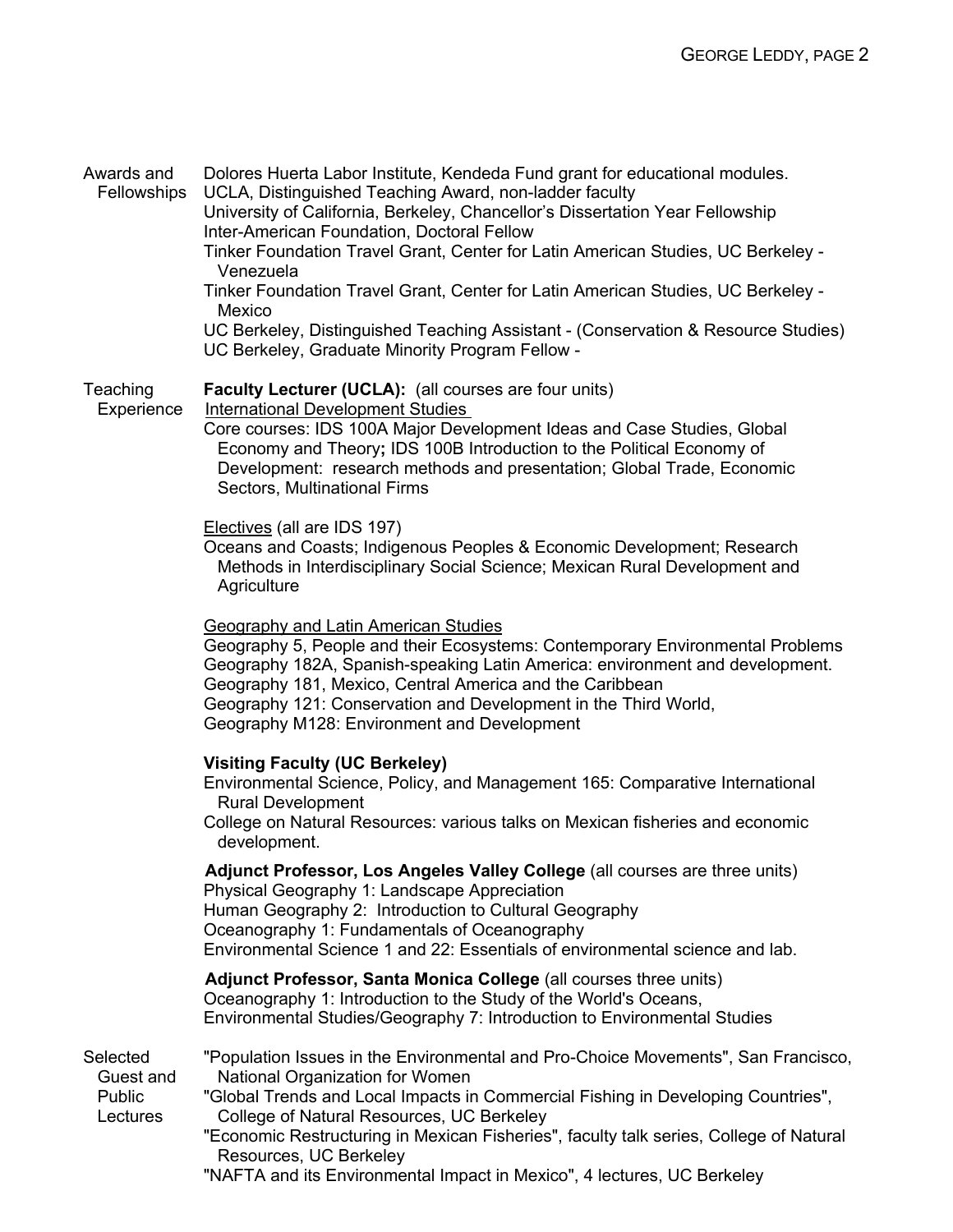| Awards and<br>Fellowships                   | Dolores Huerta Labor Institute, Kendeda Fund grant for educational modules.<br>UCLA, Distinguished Teaching Award, non-ladder faculty<br>University of California, Berkeley, Chancellor's Dissertation Year Fellowship<br>Inter-American Foundation, Doctoral Fellow<br>Tinker Foundation Travel Grant, Center for Latin American Studies, UC Berkeley -<br>Venezuela<br>Tinker Foundation Travel Grant, Center for Latin American Studies, UC Berkeley -<br>Mexico |
|---------------------------------------------|---------------------------------------------------------------------------------------------------------------------------------------------------------------------------------------------------------------------------------------------------------------------------------------------------------------------------------------------------------------------------------------------------------------------------------------------------------------------|
|                                             | UC Berkeley, Distinguished Teaching Assistant - (Conservation & Resource Studies)<br>UC Berkeley, Graduate Minority Program Fellow -                                                                                                                                                                                                                                                                                                                                |
| Teaching<br>Experience                      | Faculty Lecturer (UCLA): (all courses are four units)<br><b>International Development Studies</b><br>Core courses: IDS 100A Major Development Ideas and Case Studies, Global<br>Economy and Theory; IDS 100B Introduction to the Political Economy of<br>Development: research methods and presentation; Global Trade, Economic<br>Sectors, Multinational Firms                                                                                                     |
|                                             | Electives (all are IDS 197)<br>Oceans and Coasts; Indigenous Peoples & Economic Development; Research<br>Methods in Interdisciplinary Social Science; Mexican Rural Development and<br>Agriculture                                                                                                                                                                                                                                                                  |
|                                             | <b>Geography and Latin American Studies</b><br>Geography 5, People and their Ecosystems: Contemporary Environmental Problems<br>Geography 182A, Spanish-speaking Latin America: environment and development.<br>Geography 181, Mexico, Central America and the Caribbean<br>Geography 121: Conservation and Development in the Third World,<br>Geography M128: Environment and Development                                                                          |
|                                             | <b>Visiting Faculty (UC Berkeley)</b><br>Environmental Science, Policy, and Management 165: Comparative International<br><b>Rural Development</b><br>College on Natural Resources: various talks on Mexican fisheries and economic<br>development.                                                                                                                                                                                                                  |
|                                             | Adjunct Professor, Los Angeles Valley College (all courses are three units)<br>Physical Geography 1: Landscape Appreciation<br>Human Geography 2: Introduction to Cultural Geography<br>Oceanography 1: Fundamentals of Oceanography<br>Environmental Science 1 and 22: Essentials of environmental science and lab.                                                                                                                                                |
|                                             | Adjunct Professor, Santa Monica College (all courses three units)<br>Oceanography 1: Introduction to the Study of the World's Oceans,<br>Environmental Studies/Geography 7: Introduction to Environmental Studies                                                                                                                                                                                                                                                   |
| Selected<br>Guest and<br>Public<br>Lectures | "Population Issues in the Environmental and Pro-Choice Movements", San Francisco,<br>National Organization for Women<br>"Global Trends and Local Impacts in Commercial Fishing in Developing Countries",<br>College of Natural Resources, UC Berkeley<br>"Economic Restructuring in Mexican Fisheries", faculty talk series, College of Natural<br>Resources, UC Berkeley<br>"NAFTA and its Environmental Impact in Mexico", 4 lectures, UC Berkeley                |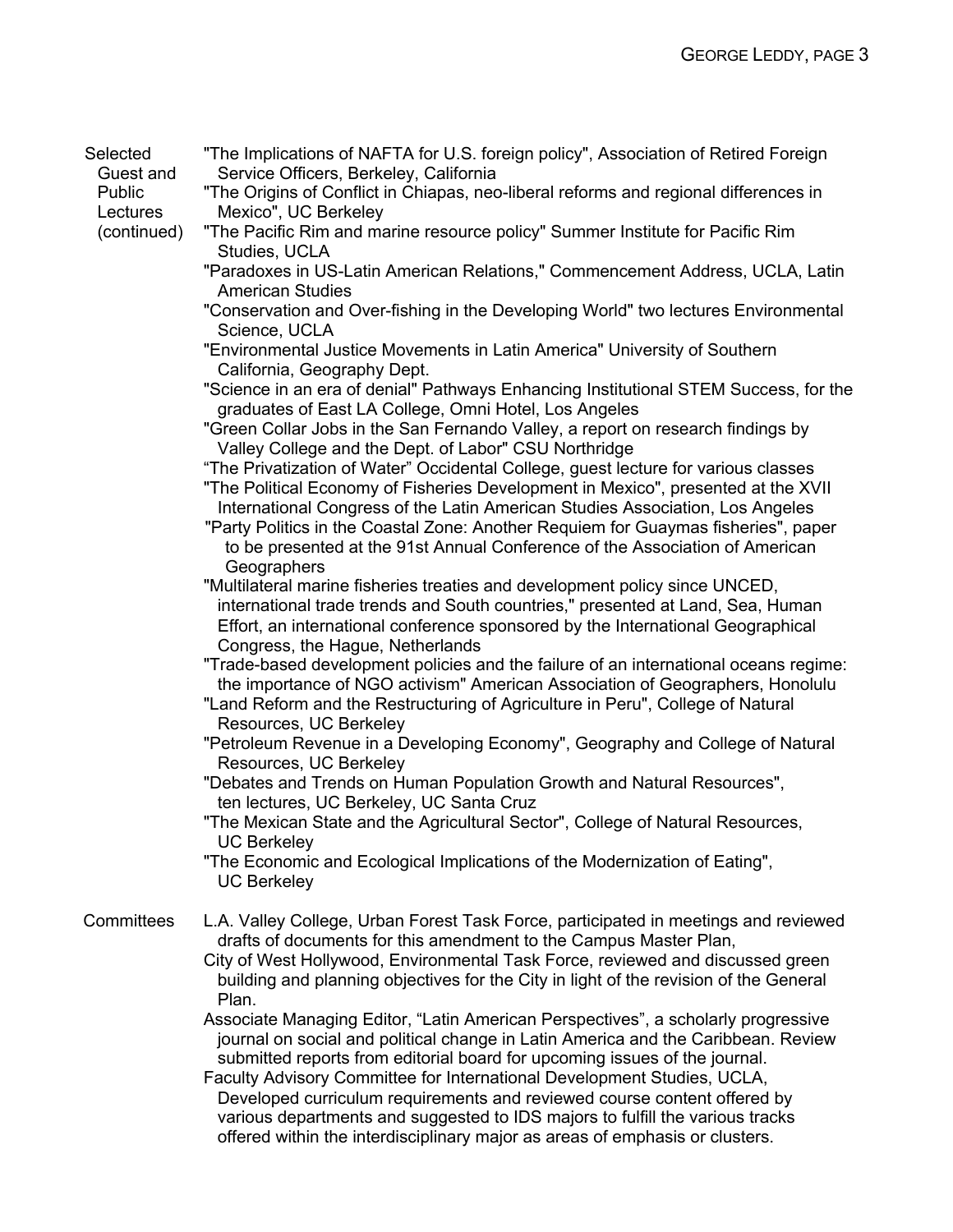Selected Guest and "The Implications of NAFTA for U.S. foreign policy", Association of Retired Foreign Service Officers, Berkeley, California

Public **Lectures** "The Origins of Conflict in Chiapas, neo-liberal reforms and regional differences in Mexico", UC Berkeley

(continued)

- "The Pacific Rim and marine resource policy" Summer Institute for Pacific Rim Studies, UCLA
- "Paradoxes in US-Latin American Relations," Commencement Address, UCLA, Latin American Studies
- "Conservation and Over-fishing in the Developing World" two lectures Environmental Science, UCLA
- "Environmental Justice Movements in Latin America" University of Southern California, Geography Dept.
- "Science in an era of denial" Pathways Enhancing Institutional STEM Success, for the graduates of East LA College, Omni Hotel, Los Angeles
- "Green Collar Jobs in the San Fernando Valley, a report on research findings by Valley College and the Dept. of Labor" CSU Northridge

"The Privatization of Water" Occidental College, guest lecture for various classes

"The Political Economy of Fisheries Development in Mexico", presented at the XVII International Congress of the Latin American Studies Association, Los Angeles "Party Politics in the Coastal Zone: Another Requiem for Guaymas fisheries", paper

to be presented at the 91st Annual Conference of the Association of American **Geographers** 

"Multilateral marine fisheries treaties and development policy since UNCED, international trade trends and South countries," presented at Land, Sea, Human Effort, an international conference sponsored by the International Geographical Congress, the Hague, Netherlands

"Trade-based development policies and the failure of an international oceans regime: the importance of NGO activism" American Association of Geographers, Honolulu

"Land Reform and the Restructuring of Agriculture in Peru", College of Natural Resources, UC Berkeley

"Petroleum Revenue in a Developing Economy", Geography and College of Natural Resources, UC Berkeley

"Debates and Trends on Human Population Growth and Natural Resources", ten lectures, UC Berkeley, UC Santa Cruz

"The Mexican State and the Agricultural Sector", College of Natural Resources, UC Berkeley

"The Economic and Ecological Implications of the Modernization of Eating", UC Berkeley

Committees L.A. Valley College, Urban Forest Task Force, participated in meetings and reviewed drafts of documents for this amendment to the Campus Master Plan,

City of West Hollywood, Environmental Task Force, reviewed and discussed green building and planning objectives for the City in light of the revision of the General Plan.

Associate Managing Editor, "Latin American Perspectives", a scholarly progressive journal on social and political change in Latin America and the Caribbean. Review submitted reports from editorial board for upcoming issues of the journal.

Faculty Advisory Committee for International Development Studies, UCLA, Developed curriculum requirements and reviewed course content offered by various departments and suggested to IDS majors to fulfill the various tracks offered within the interdisciplinary major as areas of emphasis or clusters.